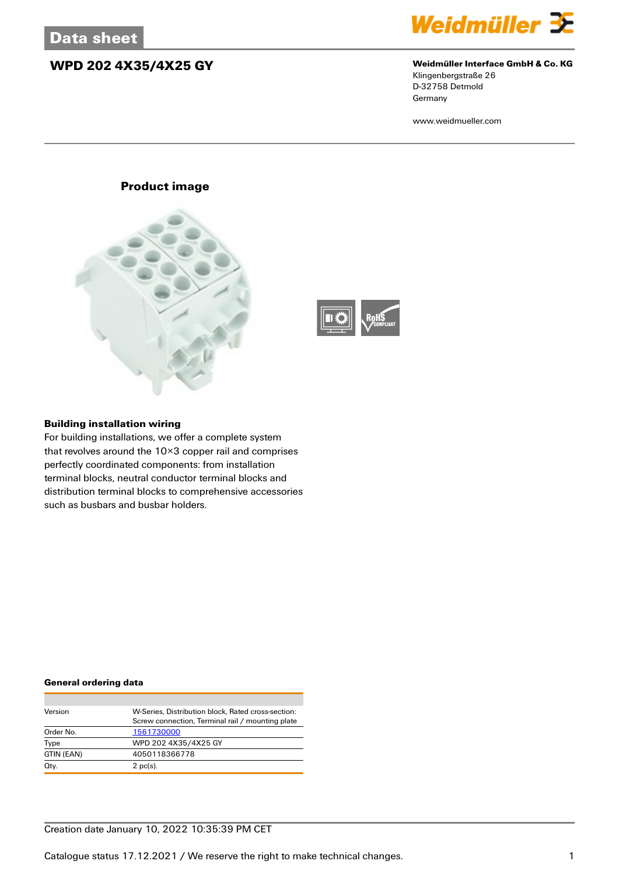## **WPD 202 4X35/4X25 GY Weidmüller Interface GmbH & Co. KG**



Klingenbergstraße 26 D-32758 Detmold Germany

www.weidmueller.com

### **Product image**





#### **Building installation wiring**

For building installations, we offer a complete system that revolves around the 10×3 copper rail and comprises perfectly coordinated components: from installation terminal blocks, neutral conductor terminal blocks and distribution terminal blocks to comprehensive accessories such as busbars and busbar holders.

#### **General ordering data**

| Version    | W-Series, Distribution block, Rated cross-section: |
|------------|----------------------------------------------------|
|            | Screw connection, Terminal rail / mounting plate   |
| Order No.  | 1561730000                                         |
| Type       | WPD 202 4X35/4X25 GY                               |
| GTIN (EAN) | 4050118366778                                      |
| Qty.       | $2$ pc(s).                                         |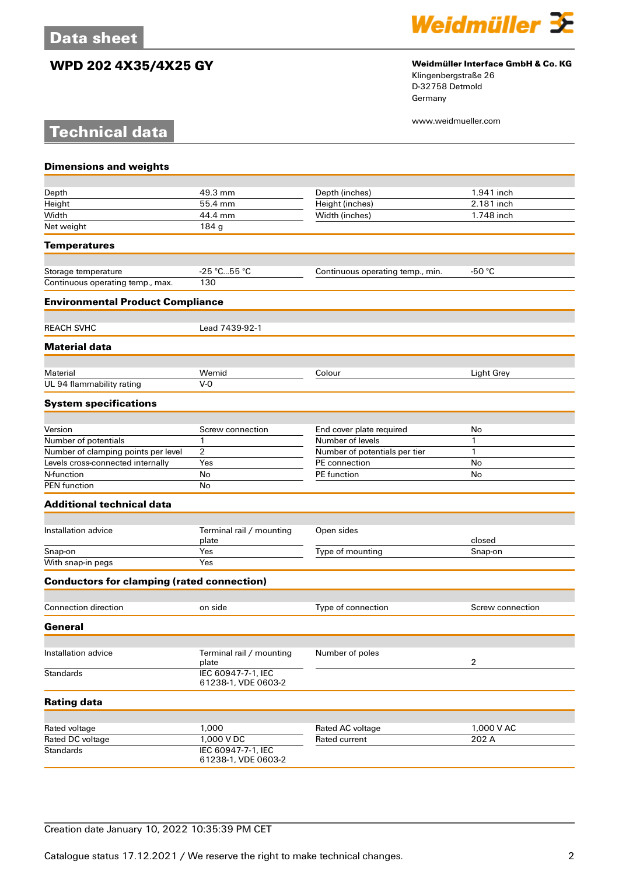**Technical data**

# **WPD 202 4X35/4X25 GY Weidmüller Interface GmbH & Co. KG**



Klingenbergstraße 26 D-32758 Detmold Germany

www.weidmueller.com

| <b>Dimensions and weights</b>                     |                                           |                                  |                  |
|---------------------------------------------------|-------------------------------------------|----------------------------------|------------------|
|                                                   |                                           |                                  |                  |
| Depth                                             | 49.3 mm                                   | Depth (inches)                   | 1.941 inch       |
| Height                                            | 55.4 mm                                   | Height (inches)                  | 2.181 inch       |
| Width                                             | 44.4 mm                                   | Width (inches)                   | 1.748 inch       |
| Net weight                                        | 184 g                                     |                                  |                  |
| <b>Temperatures</b>                               |                                           |                                  |                  |
| Storage temperature                               | -25 °C55 °C                               | Continuous operating temp., min. | -50 $^{\circ}$ C |
| Continuous operating temp., max.                  | 130                                       |                                  |                  |
| <b>Environmental Product Compliance</b>           |                                           |                                  |                  |
| <b>REACH SVHC</b>                                 | Lead 7439-92-1                            |                                  |                  |
| <b>Material data</b>                              |                                           |                                  |                  |
|                                                   |                                           |                                  |                  |
| Material<br>UL 94 flammability rating             | Wemid<br>$V-0$                            | Colour                           | Light Grey       |
| <b>System specifications</b>                      |                                           |                                  |                  |
|                                                   |                                           |                                  |                  |
| Version                                           | Screw connection                          | End cover plate required         | No               |
| Number of potentials                              | $\mathbf{1}$                              | Number of levels                 | 1                |
| Number of clamping points per level               | 2                                         | Number of potentials per tier    | 1                |
| Levels cross-connected internally                 | Yes                                       | PE connection                    | No               |
| N-function                                        | No                                        | PE function                      | No               |
| <b>PEN</b> function                               | No                                        |                                  |                  |
| <b>Additional technical data</b>                  |                                           |                                  |                  |
| Installation advice                               | Terminal rail / mounting                  | Open sides                       |                  |
|                                                   | plate                                     |                                  | closed           |
| Snap-on                                           | Yes                                       | Type of mounting                 | Snap-on          |
| With snap-in pegs                                 | Yes                                       |                                  |                  |
| <b>Conductors for clamping (rated connection)</b> |                                           |                                  |                  |
| <b>Connection direction</b>                       | on side                                   | Type of connection               | Screw connection |
| General                                           |                                           |                                  |                  |
|                                                   |                                           |                                  |                  |
| Installation advice                               | Terminal rail / mounting<br>plate         | Number of poles                  | $\overline{2}$   |
| <b>Standards</b>                                  | IEC 60947-7-1, IEC<br>61238-1, VDE 0603-2 |                                  |                  |
| <b>Rating data</b>                                |                                           |                                  |                  |
|                                                   |                                           |                                  |                  |
| Rated voltage                                     | 1,000                                     | Rated AC voltage                 | 1,000 V AC       |
| Rated DC voltage<br><b>Standards</b>              | 1,000 V DC<br>IEC 60947-7-1, IEC          | Rated current                    | 202 A            |
|                                                   | 61238-1, VDE 0603-2                       |                                  |                  |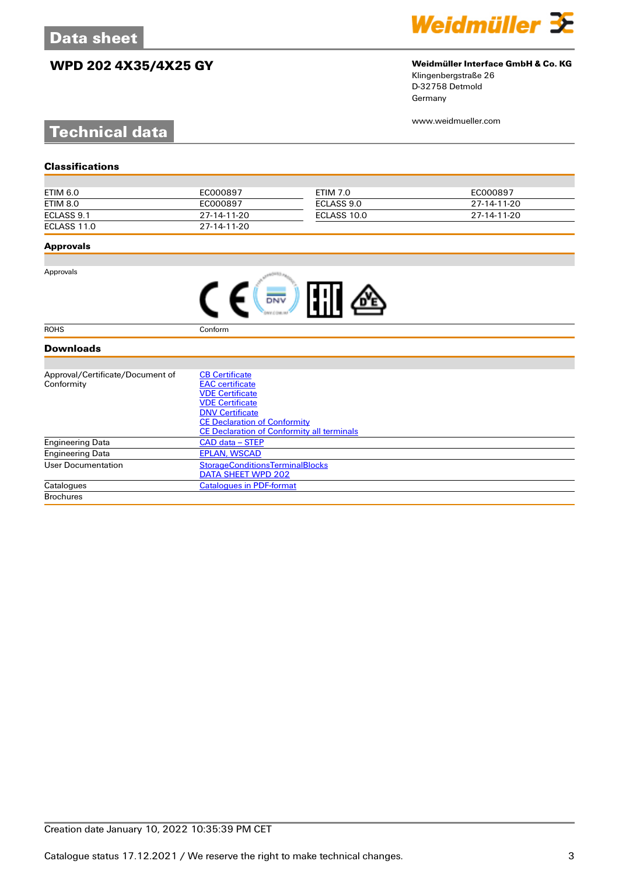# **WPD 202 4X35/4X25 GY Weidmüller Interface GmbH & Co. KG**



Klingenbergstraße 26 D-32758 Detmold Germany

www.weidmueller.com

# **Technical data**

| ETIM 6.0    | EC000897    | ETIM 7.0    | EC000897    |
|-------------|-------------|-------------|-------------|
| ETIM 8.0    | EC000897    | ECLASS 9.0  | 27-14-11-20 |
| ECLASS 9.1  | 27-14-11-20 | ECLASS 10.0 | 27-14-11-20 |
| ECLASS 11.0 | 27-14-11-20 |             |             |

### **Approvals**

Approvals

ROHS Conform

### **Downloads**

| Approval/Certificate/Document of | <b>CB Certificate</b>                             |  |  |
|----------------------------------|---------------------------------------------------|--|--|
| Conformity                       | <b>EAC</b> certificate                            |  |  |
|                                  | <b>VDE Certificate</b>                            |  |  |
|                                  | <b>VDE Certificate</b>                            |  |  |
|                                  | <b>DNV Certificate</b>                            |  |  |
|                                  | <b>CE Declaration of Conformity</b>               |  |  |
|                                  | <b>CE Declaration of Conformity all terminals</b> |  |  |
| <b>Engineering Data</b>          | CAD data – STEP                                   |  |  |
| <b>Engineering Data</b>          | <b>EPLAN, WSCAD</b>                               |  |  |
| User Documentation               | <b>StorageConditionsTerminalBlocks</b>            |  |  |
|                                  | DATA SHEET WPD 202                                |  |  |
| Catalogues                       | <b>Catalogues in PDF-format</b>                   |  |  |
| <b>Brochures</b>                 |                                                   |  |  |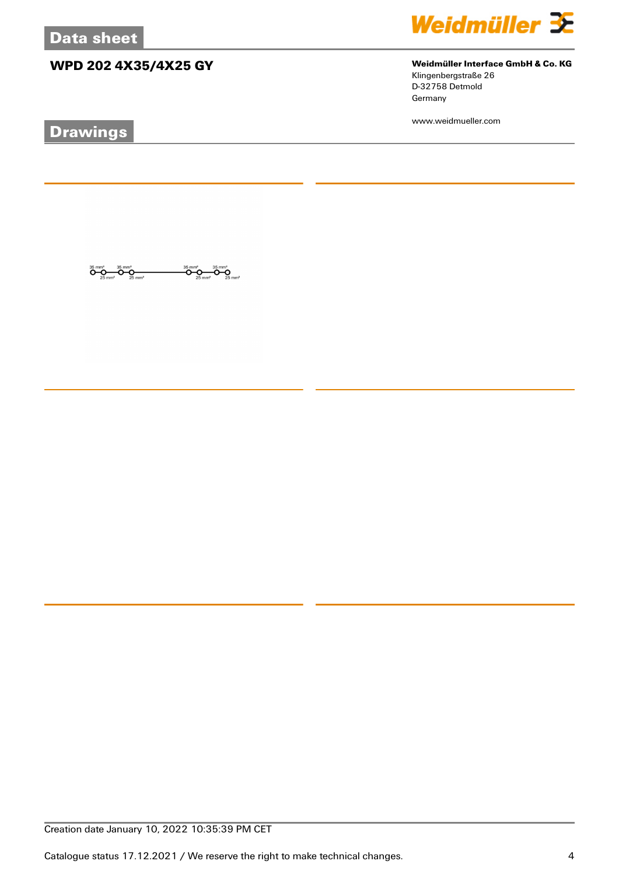# **WPD 202 4X35/4X25 GY Weidmüller Interface GmbH & Co. KG**

 $\overline{\mathbf{O}}_{\mathbf{25} \text{ mm}^2}^{\mathbf{35} \text{ mm}^2}$ 

 $\overline{O}$ 

 $\overline{\mathbf{O}}\underset{25\text{ mm}^2}{\mathbf{O}}\overline{\mathbf{O}}\underset{25\text{ mm}^2}{\mathbf{O}}\overline{\mathbf{O}}\underset{25\text{ mm}^2}{\mathbf{O}}$ 

# **Drawings**



Klingenbergstraße 26 D-32758 Detmold

www.weidmueller.com

Germany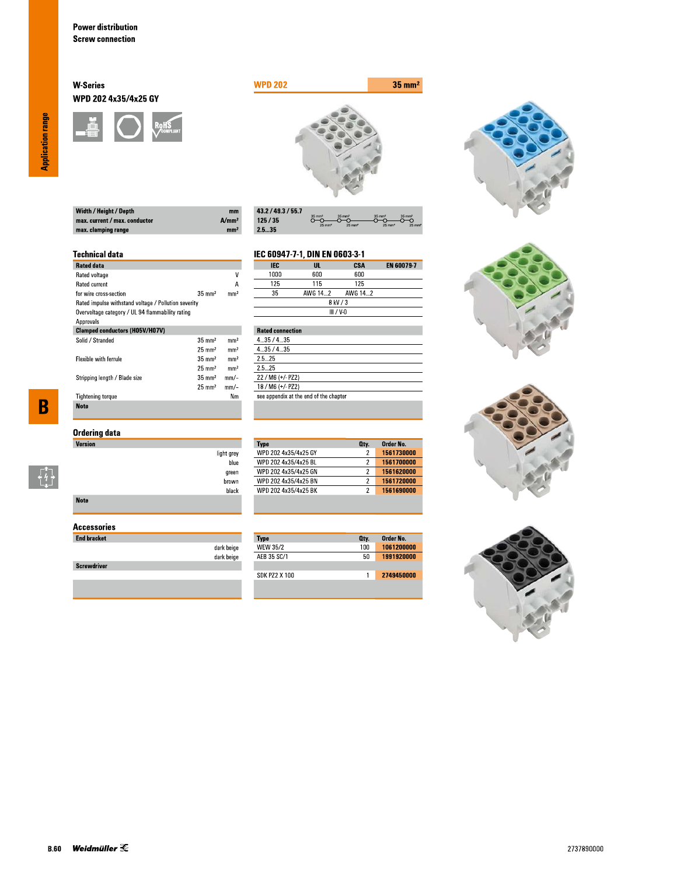### **W-Series** WPD 202 4x35/4x25 GY





| $m$  |
|------|
| A/mm |
| mm   |
|      |

| 43.2 / 49.3 / 55.7 |                                        |                                           |                                           |                                        |
|--------------------|----------------------------------------|-------------------------------------------|-------------------------------------------|----------------------------------------|
| 125/35             | $35 \text{ mm}^2$<br>$25 \text{ mm}^2$ | $35 \text{ mm}^2$<br>$25$ mm <sup>2</sup> | $35 \text{ mm}^2$<br>$25$ mm <sup>2</sup> | $35 \text{ mm}^2$<br>$25 \, \text{mm}$ |
| 2.535              |                                        |                                           |                                           |                                        |

#### **Technical data**

| <b>Rated data</b>                                    |                   |                 |
|------------------------------------------------------|-------------------|-----------------|
| Rated voltage                                        |                   | ۷               |
| <b>Rated current</b>                                 |                   | А               |
| for wire cross-section                               | $35 \text{ mm}^2$ | mm <sup>2</sup> |
| Rated impulse withstand voltage / Pollution severity |                   |                 |
| Overvoltage category / UL 94 flammability rating     |                   |                 |
| Approvals                                            |                   |                 |
| <b>Clamped conductors (H05V/H07V)</b>                |                   |                 |
| Solid / Stranded                                     | $35 \text{ mm}^2$ | mm <sup>2</sup> |
|                                                      | $25 \text{ mm}^2$ | mm <sup>2</sup> |
| <b>Flexible with ferrule</b>                         | $35 \text{ mm}^2$ | mm <sup>2</sup> |
|                                                      | $25 \text{ mm}^2$ | mm <sup>2</sup> |
| Stripping length / Blade size                        | $35 \text{ mm}^2$ | $mm$ -          |
|                                                      | $25 \text{ mm}^2$ | mm/-            |
| <b>Tightening torque</b>                             |                   | Nm              |
| <b>Note</b>                                          |                   |                 |

## **Ordering data**

| <b>Version</b> |                    |
|----------------|--------------------|
|                | light grey<br>blue |
|                | green              |
|                | brown              |
|                | black              |
| <b>Note</b>    |                    |

### **Accessories**

| <b>End bracket</b> |                          |
|--------------------|--------------------------|
|                    | dark beige<br>dark beige |
| <b>Screwdriver</b> |                          |
|                    |                          |

#### EN 60079-7 **IEC**  $\overline{\mathsf{u}}$ . **CSA** 1000  $600\,$  $600$  $\overline{125}$  $\overline{115}$  $\overline{125}$

IEC 60947-7-1, DIN EN 0603-3-1

**Type**<br>WPD 202 4x35/4x25 GY

WPD 202 4x35/4x25 BL

WPD 202 4x35/4x25 GN

WPD 202 4x35/4x25 BN<br>WPD 202 4x35/4x25 BK

Type<br>WEW 35/2

AEB 35 SC/1

**SDK PZ2 X 100** 

|             | $- - -$ | .       | .       |  |
|-------------|---------|---------|---------|--|
|             | 35      | AWG 142 | AWG 142 |  |
| 8 kV / 3    |         |         |         |  |
| $III / V-0$ |         |         |         |  |
|             |         |         |         |  |

| <b>Rated connection</b>                |
|----------------------------------------|
| 435/435                                |
| 435/435                                |
| 25 25                                  |
| 25 25                                  |
| 22 / M6 (+/- PZ2)                      |
| 18 / M6 (+/- PZ2)                      |
| see appendix at the end of the chapter |
|                                        |

Order No.

1561730000

1561700000

1561620000

1561690000

Order No.<br>1061200000

1991920000

2749450000

Oty.

 $\overline{2}$ 

 $\overline{2}$ 

 $\overline{2}$ 

 $\overline{2}$ 

Oty.  $100$ 

 $50\,$ 

 $\overline{1}$ 







**Application range** 

 $\overline{\mathbf{B}}$ 

 $\begin{bmatrix} 1 \\ 1 \\ 1 \end{bmatrix}$